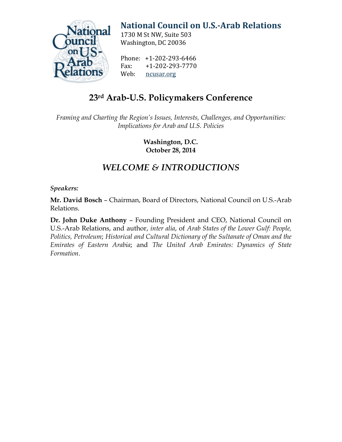

# **[National Council on U.S.-Arab Relations](http://ncusar.org/)**

1730 M St NW, Suite 503 Washington, DC 20036

Phone: +1-202-293-6466<br>Fax: +1-202-293-7770 Fax: +1-202-293-7770<br>Web: ncusar.org [ncusar.org](http://ncusar.org/)

## **23rd Arab-U.S. Policymakers Conference**

*Framing and Charting the Region's Issues, Interests, Challenges, and Opportunities: Implications for Arab and U.S. Policies*

> **Washington, D.C. October 28, 2014**

### *WELCOME & INTRODUCTIONS*

#### *Speakers:*

**Mr. David Bosch** – Chairman, Board of Directors, National Council on U.S.-Arab Relations.

**Dr. John Duke Anthony** – Founding President and CEO, National Council on U.S.-Arab Relations, and author, *inter alia*, of *Arab States of the Lower Gulf: People, Politics, Petroleum*; *Historical and Cultural Dictionary of the Sultanate of Oman and the Emirates of Eastern Arabia*; and *The United Arab Emirates: Dynamics of State Formation*.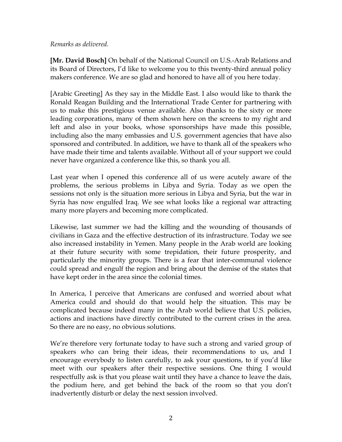#### *Remarks as delivered.*

**[Mr. David Bosch]** On behalf of the National Council on U.S.-Arab Relations and its Board of Directors, I'd like to welcome you to this twenty-third annual policy makers conference. We are so glad and honored to have all of you here today.

[Arabic Greeting] As they say in the Middle East. I also would like to thank the Ronald Reagan Building and the International Trade Center for partnering with us to make this prestigious venue available. Also thanks to the sixty or more leading corporations, many of them shown here on the screens to my right and left and also in your books, whose sponsorships have made this possible, including also the many embassies and U.S. government agencies that have also sponsored and contributed. In addition, we have to thank all of the speakers who have made their time and talents available. Without all of your support we could never have organized a conference like this, so thank you all.

Last year when I opened this conference all of us were acutely aware of the problems, the serious problems in Libya and Syria. Today as we open the sessions not only is the situation more serious in Libya and Syria, but the war in Syria has now engulfed Iraq. We see what looks like a regional war attracting many more players and becoming more complicated.

Likewise, last summer we had the killing and the wounding of thousands of civilians in Gaza and the effective destruction of its infrastructure. Today we see also increased instability in Yemen. Many people in the Arab world are looking at their future security with some trepidation, their future prosperity, and particularly the minority groups. There is a fear that inter-communal violence could spread and engulf the region and bring about the demise of the states that have kept order in the area since the colonial times.

In America, I perceive that Americans are confused and worried about what America could and should do that would help the situation. This may be complicated because indeed many in the Arab world believe that U.S. policies, actions and inactions have directly contributed to the current crises in the area. So there are no easy, no obvious solutions.

We're therefore very fortunate today to have such a strong and varied group of speakers who can bring their ideas, their recommendations to us, and I encourage everybody to listen carefully, to ask your questions, to if you'd like meet with our speakers after their respective sessions. One thing I would respectfully ask is that you please wait until they have a chance to leave the dais, the podium here, and get behind the back of the room so that you don't inadvertently disturb or delay the next session involved.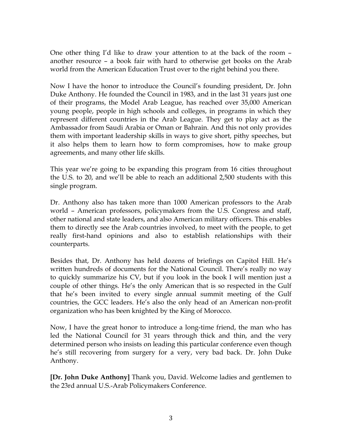One other thing I'd like to draw your attention to at the back of the room – another resource – a book fair with hard to otherwise get books on the Arab world from the American Education Trust over to the right behind you there.

Now I have the honor to introduce the Council's founding president, Dr. John Duke Anthony. He founded the Council in 1983, and in the last 31 years just one of their programs, the Model Arab League, has reached over 35,000 American young people, people in high schools and colleges, in programs in which they represent different countries in the Arab League. They get to play act as the Ambassador from Saudi Arabia or Oman or Bahrain. And this not only provides them with important leadership skills in ways to give short, pithy speeches, but it also helps them to learn how to form compromises, how to make group agreements, and many other life skills.

This year we're going to be expanding this program from 16 cities throughout the U.S. to 20, and we'll be able to reach an additional 2,500 students with this single program.

Dr. Anthony also has taken more than 1000 American professors to the Arab world – American professors, policymakers from the U.S. Congress and staff, other national and state leaders, and also American military officers. This enables them to directly see the Arab countries involved, to meet with the people, to get really first-hand opinions and also to establish relationships with their counterparts.

Besides that, Dr. Anthony has held dozens of briefings on Capitol Hill. He's written hundreds of documents for the National Council. There's really no way to quickly summarize his CV, but if you look in the book I will mention just a couple of other things. He's the only American that is so respected in the Gulf that he's been invited to every single annual summit meeting of the Gulf countries, the GCC leaders. He's also the only head of an American non-profit organization who has been knighted by the King of Morocco.

Now, I have the great honor to introduce a long-time friend, the man who has led the National Council for 31 years through thick and thin, and the very determined person who insists on leading this particular conference even though he's still recovering from surgery for a very, very bad back. Dr. John Duke Anthony.

**[Dr. John Duke Anthony]** Thank you, David. Welcome ladies and gentlemen to the 23rd annual U.S.-Arab Policymakers Conference.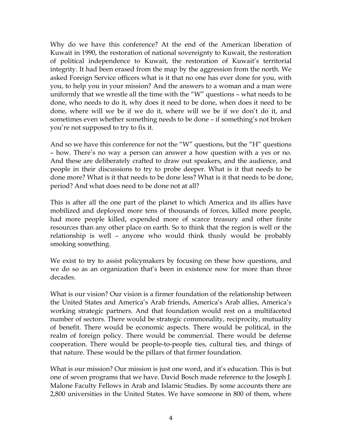Why do we have this conference? At the end of the American liberation of Kuwait in 1990, the restoration of national sovereignty to Kuwait, the restoration of political independence to Kuwait, the restoration of Kuwait's territorial integrity. It had been erased from the map by the aggression from the north. We asked Foreign Service officers what is it that no one has ever done for you, with you, to help you in your mission? And the answers to a woman and a man were uniformly that we wrestle all the time with the "W" questions – what needs to be done, who needs to do it, why does it need to be done, when does it need to be done, where will we be if we do it, where will we be if we don't do it, and sometimes even whether something needs to be done – if something's not broken you're not supposed to try to fix it.

And so we have this conference for not the "W" questions, but the "H" questions – how. There's no way a person can answer a how question with a yes or no. And these are deliberately crafted to draw out speakers, and the audience, and people in their discussions to try to probe deeper. What is it that needs to be done more? What is it that needs to be done less? What is it that needs to be done, period? And what does need to be done not at all?

This is after all the one part of the planet to which America and its allies have mobilized and deployed more tens of thousands of forces, killed more people, had more people killed, expended more of scarce treasury and other finite resources than any other place on earth. So to think that the region is well or the relationship is well – anyone who would think thusly would be probably smoking something.

We exist to try to assist policymakers by focusing on these how questions, and we do so as an organization that's been in existence now for more than three decades.

What is our vision? Our vision is a firmer foundation of the relationship between the United States and America's Arab friends, America's Arab allies, America's working strategic partners. And that foundation would rest on a multifaceted number of sectors. There would be strategic commonality, reciprocity, mutuality of benefit. There would be economic aspects. There would be political, in the realm of foreign policy. There would be commercial. There would be defense cooperation. There would be people-to-people ties, cultural ties, and things of that nature. These would be the pillars of that firmer foundation.

What is our mission? Our mission is just one word, and it's education. This is but one of seven programs that we have. David Bosch made reference to the Joseph J. Malone Faculty Fellows in Arab and Islamic Studies. By some accounts there are 2,800 universities in the United States. We have someone in 800 of them, where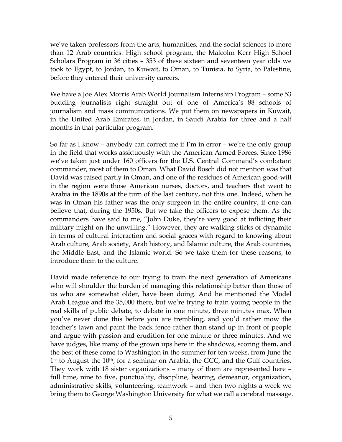we've taken professors from the arts, humanities, and the social sciences to more than 12 Arab countries. High school program, the Malcolm Kerr High School Scholars Program in 36 cities – 353 of these sixteen and seventeen year olds we took to Egypt, to Jordan, to Kuwait, to Oman, to Tunisia, to Syria, to Palestine, before they entered their university careers.

We have a Joe Alex Morris Arab World Journalism Internship Program – some 53 budding journalists right straight out of one of America's 88 schools of journalism and mass communications. We put them on newspapers in Kuwait, in the United Arab Emirates, in Jordan, in Saudi Arabia for three and a half months in that particular program.

So far as I know – anybody can correct me if I'm in error – we're the only group in the field that works assiduously with the American Armed Forces. Since 1986 we've taken just under 160 officers for the U.S. Central Command's combatant commander, most of them to Oman. What David Bosch did not mention was that David was raised partly in Oman, and one of the residues of American good-will in the region were those American nurses, doctors, and teachers that went to Arabia in the 1890s at the turn of the last century, not this one. Indeed, when he was in Oman his father was the only surgeon in the entire country, if one can believe that, during the 1950s. But we take the officers to expose them. As the commanders have said to me, "John Duke, they're very good at inflicting their military might on the unwilling." However, they are walking sticks of dynamite in terms of cultural interaction and social graces with regard to knowing about Arab culture, Arab society, Arab history, and Islamic culture, the Arab countries, the Middle East, and the Islamic world. So we take them for these reasons, to introduce them to the culture.

David made reference to our trying to train the next generation of Americans who will shoulder the burden of managing this relationship better than those of us who are somewhat older, have been doing. And he mentioned the Model Arab League and the 35,000 there, but we're trying to train young people in the real skills of public debate, to debate in one minute, three minutes max. When you've never done this before you are trembling, and you'd rather mow the teacher's lawn and paint the back fence rather than stand up in front of people and argue with passion and erudition for one minute or three minutes. And we have judges, like many of the grown ups here in the shadows, scoring them, and the best of these come to Washington in the summer for ten weeks, from June the 1<sup>st</sup> to August the 10<sup>th</sup>, for a seminar on Arabia, the GCC, and the Gulf countries. They work with 18 sister organizations – many of them are represented here – full time, nine to five, punctuality, discipline, bearing, demeanor, organization, administrative skills, volunteering, teamwork – and then two nights a week we bring them to George Washington University for what we call a cerebral massage.